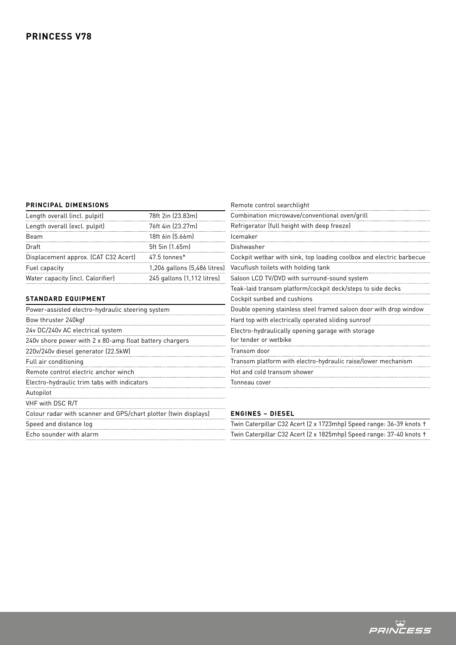## **PRINCIPAL DIMENSIONS**

| PRINCIPAL DIMENSIONS                                            |                              | Remote control searchlight                                                 |
|-----------------------------------------------------------------|------------------------------|----------------------------------------------------------------------------|
| Length overall (incl. pulpit)                                   | 78ft 2in (23.83m)            | Combination microwave/conventional oven/grill                              |
| Length overall (excl. pulpit)                                   | 76ft 4in (23.27m)            | Refrigerator (full height with deep freeze)                                |
| Beam                                                            | 18ft 6in (5.66m)             | Icemaker                                                                   |
| Draft                                                           | 5ft 5in (1.65m)              | Dishwasher                                                                 |
| Displacement approx. (CAT C32 Acert)                            | 47.5 tonnes*                 | Cockpit wetbar with sink, top loading coolbox and electric barbecue        |
| Fuel capacity                                                   | 1,206 gallons (5,486 litres) | Vacuflush toilets with holding tank                                        |
| Water capacity (incl. Calorifier)                               | 245 gallons (1,112 litres)   | Saloon LCD TV/DVD with surround-sound system                               |
|                                                                 |                              | Teak-laid transom platform/cockpit deck/steps to side decks                |
| <b>STANDARD EQUIPMENT</b>                                       |                              | Cockpit sunbed and cushions                                                |
| Power-assisted electro-hydraulic steering system                |                              | Double opening stainless steel framed saloon door with drop window         |
| Bow thruster 240kgf                                             |                              | Hard top with electrically operated sliding sunroof                        |
| 24v DC/240v AC electrical system                                |                              | Electro-hydraulically opening garage with storage<br>for tender or wetbike |
| 240v shore power with 2 x 80-amp float battery chargers         |                              |                                                                            |
| 220v/240v diesel generator (22.5kW)                             |                              | Transom door                                                               |
| Full air conditioning                                           |                              | Transom platform with electro-hydraulic raise/lower mechanism              |
| Remote control electric anchor winch                            |                              | Hot and cold transom shower                                                |
| Electro-hydraulic trim tabs with indicators                     |                              | Tonneau cover                                                              |
| Autopilot                                                       |                              |                                                                            |
| VHF with DSC R/T                                                |                              |                                                                            |
| Colour radar with scanner and GPS/chart plotter (twin displays) |                              | <b>ENGINES - DIESEL</b>                                                    |
| Speed and distance log                                          |                              | Twin Caterpillar C32 Acert (2 x 1723mhp) Speed range: 36-39 knots +        |
| Echo sounder with alarm                                         |                              | Twin Caterpillar C32 Acert (2 x 1825mhp) Speed range: 37-40 knots +        |

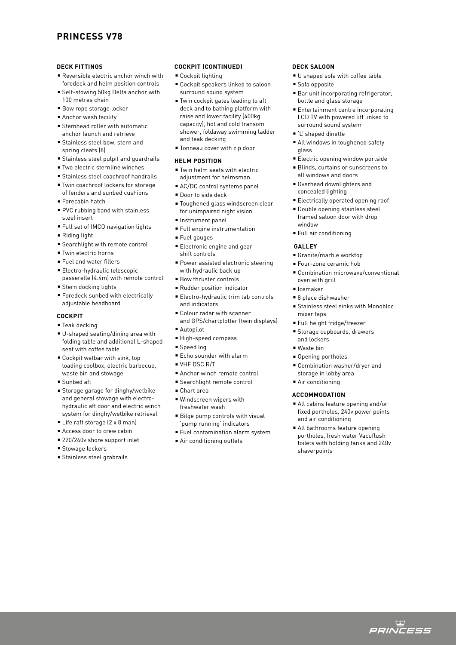# **PRINCESS V78**

### **DECK FITTINGS**

- **Reversible electric anchor winch with** foredeck and helm position controls
- Self-stowing 50kg Delta anchor with 100 metres chain
- Bow rope storage locker
- Anchor wash facility
- $\blacksquare$  Stemhead roller with automatic anchor launch and retrieve
- **Stainless steel bow, stern and** spring cleats (8)
- **Example Stainless steel pulpit and quardrails**
- Two electric sternline winches
- **Stainless steel coachroof handrails**
- Twin coachroof lockers for storage of fenders and sunbed cushions
- Forecabin hatch
- PVC rubbing band with stainless steel insert
- Full set of IMCO navigation lights
- $\blacksquare$  Riding light
- **Exerchlight with remote control**
- <sup>n</sup> Twin electric horns
- <sup>n</sup> Fuel and water fillers
- Electro-hydraulic telescopic passerelle (4.4m) with remote control
- **Stern docking lights**
- Foredeck sunbed with electrically adjustable headboard

## **COCKPIT**

- $\square$  Teak decking
- U-shaped seating/dining area with folding table and additional L-shaped seat with coffee table
- $C$ ockpit wetbar with sink, top loading coolbox, electric barbecue, waste bin and stowage
- $S$ unbed aft
- **Externage garage for dinghy/wetbike** and general stowage with electrohydraulic aft door and electric winch system for dinghy/wetbike retrieval
- Life raft storage (2 x 8 man)
- Access door to crew cabin
- 220/240v shore support inlet
- **s** Stowage lockers
- **s** Stainless steel grabrails

### **COCKPIT (CONTINUED)**

- $C$ ockpit lighting
- Cockpit speakers linked to saloon surround sound system
- Twin cockpit gates leading to aft deck and to bathing platform with raise and lower facility (400kg capacity), hot and cold transom shower, foldaway swimming ladder and teak decking
- Tonneau cover with zip door

#### **HELM POSITION**

- $\blacksquare$  Twin helm seats with electric adjustment for helmsman
- AC/DC control systems panel
- Door to side deck
- Toughened glass windscreen clear for unimpaired night vision
- <sup>n</sup> Instrument panel
- <sup>n</sup> Full engine instrumentation
- Fuel gauges
- **Electronic engine and gear**
- shift controls
- Power assisted electronic steering with hydraulic back up
- **Bow thruster controls**
- <sup>n</sup> Rudder position indicator
- Electro-hydraulic trim tab controls and indicators
- <sup>n</sup> Colour radar with scanner and GPS/chartplotter (twin displays)
- Autopilot
- High-speed compass
- <sup>n</sup> Speed log
- Echo sounder with alarm
- $NHE$  DSC  $P/T$
- Anchor winch remote control
- Searchlight remote control
- <sup>n</sup> Chart area
- $\blacksquare$  Windscreen wipers with freshwater wash
- Bilge pump controls with visual 'pump running' indicators
- <sup>n</sup> Fuel contamination alarm system
- Air conditioning outlets

### **DECK SALOON**

- U shaped sofa with coffee table
- $s$  Sofa opposite
- **Bar unit incorporating refrigerator,** bottle and glass storage
- Entertainment centre incorporating LCD TV with powered lift linked to surround sound system
- 'L' shaped dinette
- All windows in toughened safety glass
- Electric opening window portside
- Blinds, curtains or sunscreens to all windows and doors
- **Overhead downlighters and** concealed lighting
- **Electrically operated opening roof**
- **Double opening stainless steel** framed saloon door with drop window
- Full air conditioning

### **GALLEY**

- Granite/marble worktop
- **Four-zone ceramic hob**
- Combination microwave/conventional oven with grill
- <sup>n</sup> Icemaker
- 8 place dishwasher
- <sup>n</sup> Stainless steel sinks with Monobloc mixer taps
- Full height fridge/freezer
- Storage cupboards, drawers
- and lockers
- <sup>n</sup> Waste bin
- **Opening portholes**
- Combination washer/drver and storage in lobby area
- Air conditioning

#### **ACCOMMODATION**

- All cabins feature opening and/or fixed portholes, 240v power points and air conditioning
- All bathrooms feature opening portholes, fresh water Vacuflush toilets with holding tanks and 240v shaverpoints

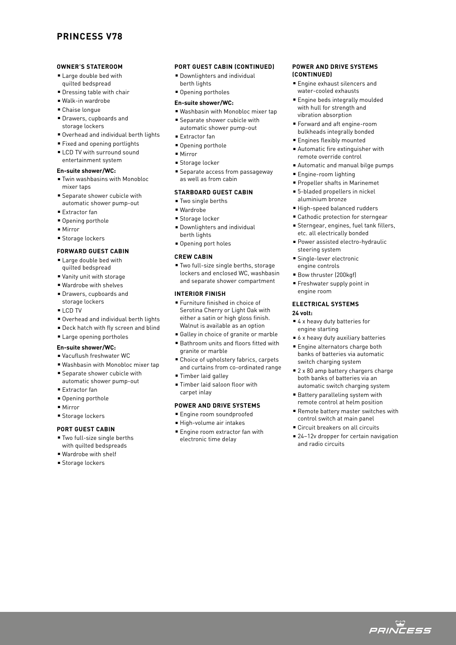# **PRINCESS V78**

### **OWNER'S STATEROOM**

- **E** Large double bed with quilted bedspread
- $\blacksquare$  Dressing table with chair
- Walk-in wardrobe
- Chaise longue
- **Drawers, cupboards and** storage lockers
- Overhead and individual berth lights
- Fixed and opening portlights
- **ELCD TV with surround sound** entertainment system

### **En-suite shower/WC:**

- Twin washbasins with Monobloc mixer taps
- **E** Separate shower cubicle with automatic shower pump-out
- Extractor fan
- Opening porthole
- $Mirror$
- **Storage lockers**

### **FORWARD GUEST CABIN**

- **E** Large double bed with quilted bedspread
- Vanity unit with storage
- Wardrobe with shelves
- **Drawers, cupboards and** storage lockers
- $ICD$  TV
- Overhead and individual berth lights
- **Deck hatch with fly screen and blind**
- **Example 2** Large opening portholes

# **En-suite shower/WC:**

- Vacuflush freshwater WC
- <sup>n</sup> Washbasin with Monobloc mixer tap
- **E** Separate shower cubicle with automatic shower pump-out
- Extractor fan
- Opening porthole
- Mirror
- Storage lockers

### **PORT GUEST CABIN**

- Two full-size single berths with quilted bedspreads
- **Wardrobe with shelf**
- **s** Storage lockers

## **PORT GUEST CABIN (CONTINUED)**

**• Downlighters and individual** berth lights

# **• Opening portholes**

- **En-suite shower/WC:**
- Washbasin with Monobloc mixer tap
- **E** Separate shower cubicle with automatic shower pump-out
- Extractor fan
- **Opening porthole**
- $Mirror$
- Storage locker
- <sup>n</sup> Separate access from passageway as well as from cabin

## **STARBOARD GUEST CABIN**

- $\blacksquare$  Two single berths
- <sup>n</sup> Wardrobe
- Storage locker
- **Downlighters and individual** berth lights
- **Opening port holes**

### **CREW CABIN**

■ Two full-size single berths, storage lockers and enclosed WC, washbasin and separate shower compartment

### **INTERIOR FINISH**

- <sup>n</sup> Furniture finished in choice of Serotina Cherry or Light Oak with either a satin or high gloss finish. Walnut is available as an option
- Galley in choice of granite or marble
- Bathroom units and floors fitted with granite or marble
- Choice of upholstery fabrics, carpets and curtains from co-ordinated range
- **Timber laid galley**
- Timber laid saloon floor with carpet inlay

### **POWER AND DRIVE SYSTEMS**

- **Engine room soundproofed**
- High-volume air intakes
- **Engine room extractor fan with** electronic time delay

### **POWER AND DRIVE SYSTEMS (CONTINUED)**

- Engine exhaust silencers and water-cooled exhausts
- **Engine beds integrally moulded** with hull for strength and vibration absorption
- <sup>n</sup> Forward and aft engine-room bulkheads integrally bonded
- **Engines flexibly mounted**
- Automatic fire extinguisher with remote override control
- <sup>n</sup> Automatic and manual bilge pumps
- **Engine-room lighting**
- **Propeller shafts in Marinemet**
- 5-bladed propellers in nickel aluminium bronze
- High-speed balanced rudders
- Cathodic protection for sterngear
- **Sterngear, engines, fuel tank fillers,** etc. all electrically bonded
- Power assisted electro-hydraulic steering system
- **Single-lever electronic** engine controls
- Bow thruster (200kgf)
- **Freshwater supply point in** engine room

#### **ELECTRICAL SYSTEMS 24 volt:**

- $4$  x heavy duty batteries for engine starting
- $\bullet$  6 x heavy duty auxiliary batteries
- Engine alternators charge both banks of batteries via automatic switch charging system
- $= 2 \times 80$  amp battery chargers charge both banks of batteries via an automatic switch charging system
- Battery paralleling system with remote control at helm position
- Remote battery master switches with control switch at main panel
- Circuit breakers on all circuits
- 24–12v dropper for certain navigation and radio circuits